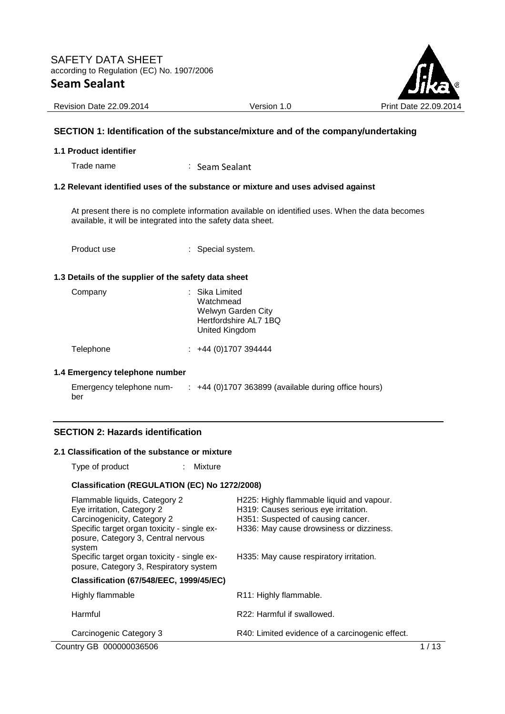

## **SECTION 1: Identification of the substance/mixture and of the company/undertaking**

#### **1.1 Product identifier**

Trade name : Seam Sealant

#### **1.2 Relevant identified uses of the substance or mixture and uses advised against**

At present there is no complete information available on identified uses. When the data becomes available, it will be integrated into the safety data sheet.

Product use : Special system.

#### **1.3 Details of the supplier of the safety data sheet**

| Company | : Sika Limited<br>Watchmead<br>Welwyn Garden City<br>Hertfordshire AL7 1BQ<br>United Kingdom |  |
|---------|----------------------------------------------------------------------------------------------|--|
|         |                                                                                              |  |

Telephone : +44 (0)1707 394444

#### **1.4 Emergency telephone number**

| Emergency telephone num- | +44 (0)1707 363899 (available during office hours) |
|--------------------------|----------------------------------------------------|
| ber                      |                                                    |

## **SECTION 2: Hazards identification**

#### **2.1 Classification of the substance or mixture**

Type of product : Mixture

#### **Classification (REGULATION (EC) No 1272/2008)**

| Flammable liquids, Category 2<br>Eye irritation, Category 2                                  | H225: Highly flammable liquid and vapour.<br>H319: Causes serious eye irritation. |      |
|----------------------------------------------------------------------------------------------|-----------------------------------------------------------------------------------|------|
| Carcinogenicity, Category 2                                                                  | H351: Suspected of causing cancer.                                                |      |
| Specific target organ toxicity - single ex-<br>posure, Category 3, Central nervous<br>system | H336: May cause drowsiness or dizziness.                                          |      |
| Specific target organ toxicity - single ex-<br>posure, Category 3, Respiratory system        | H335: May cause respiratory irritation.                                           |      |
| <b>Classification (67/548/EEC, 1999/45/EC)</b>                                               |                                                                                   |      |
| Highly flammable                                                                             | R11: Highly flammable.                                                            |      |
| Harmful                                                                                      | R22: Harmful if swallowed.                                                        |      |
| Carcinogenic Category 3                                                                      | R40: Limited evidence of a carcinogenic effect.                                   |      |
| Country GB 000000036506                                                                      |                                                                                   | 1/13 |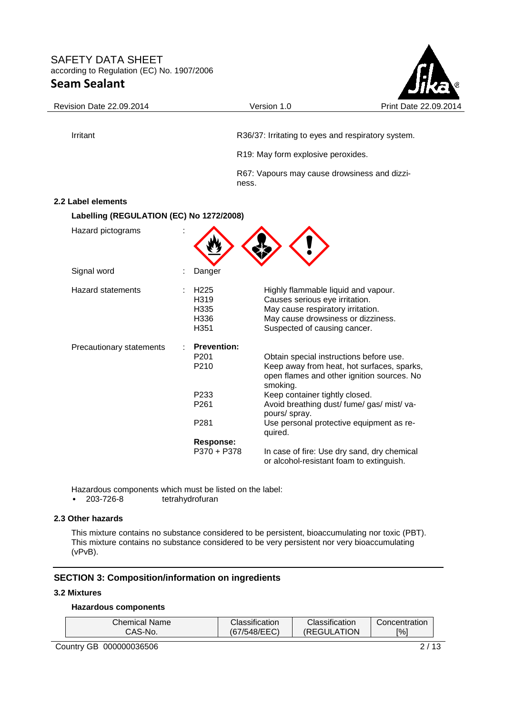

Revision Date 22.09.2014 Version 1.0 Print Date 22.09.2014

Irritant **Irritant** R36/37: Irritating to eyes and respiratory system.

R19: May form explosive peroxides.

R67: Vapours may cause drowsiness and dizziness.

## **2.2 Label elements**

**Labelling (REGULATION (EC) No 1272/2008)** 

| Hazard pictograms        |                                                        |                                                                                                                                                                                   |
|--------------------------|--------------------------------------------------------|-----------------------------------------------------------------------------------------------------------------------------------------------------------------------------------|
| Signal word              | Danger                                                 |                                                                                                                                                                                   |
| <b>Hazard statements</b> | H <sub>225</sub><br>H319<br>H335<br>H336<br>H351       | Highly flammable liquid and vapour.<br>Causes serious eye irritation.<br>May cause respiratory irritation.<br>May cause drowsiness or dizziness.<br>Suspected of causing cancer.  |
| Precautionary statements | <b>Prevention:</b><br>P <sub>201</sub><br>P210<br>P233 | Obtain special instructions before use.<br>Keep away from heat, hot surfaces, sparks,<br>open flames and other ignition sources. No<br>smoking.<br>Keep container tightly closed. |
|                          | P <sub>261</sub>                                       | Avoid breathing dust/ fume/ gas/ mist/ va-<br>pours/ spray.                                                                                                                       |
|                          | P <sub>281</sub>                                       | Use personal protective equipment as re-<br>quired.                                                                                                                               |
|                          | Response:                                              |                                                                                                                                                                                   |
|                          | P370 + P378                                            | In case of fire: Use dry sand, dry chemical<br>or alcohol-resistant foam to extinguish.                                                                                           |

Hazardous components which must be listed on the label:<br>• 203-726-8 tetrahydrofuran

tetrahydrofuran

## **2.3 Other hazards**

This mixture contains no substance considered to be persistent, bioaccumulating nor toxic (PBT). This mixture contains no substance considered to be very persistent nor very bioaccumulating (vPvB).

## **SECTION 3: Composition/information on ingredients**

#### **3.2 Mixtures**

## **Hazardous components**

| Chemical Name⊹ | Classification  | Classification | Concentration |
|----------------|-----------------|----------------|---------------|
| ີ AS-No.       | '548/EEC)<br>ľh | ATION.         | [%]           |

Country GB 000000036506 2/13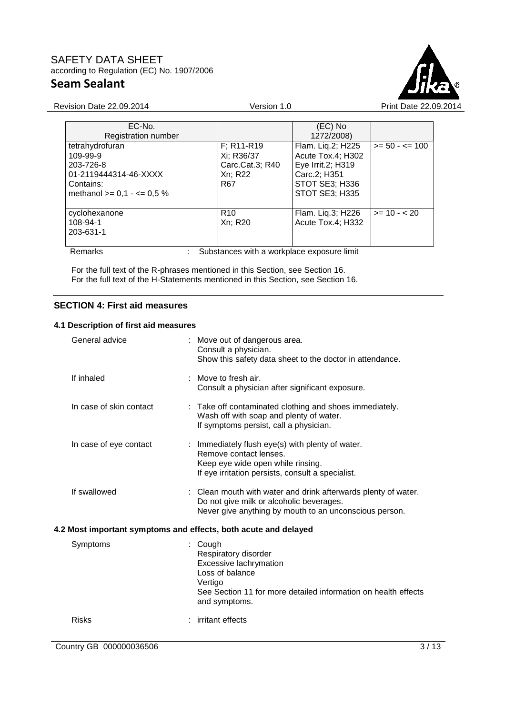

Revision Date 22.09.2014 Version 1.0 Print Date 22.09.2014

| EC-No.<br>Registration number                                                                                    |                                                                           | (EC) No<br>1272/2008)                                                                                           |                   |
|------------------------------------------------------------------------------------------------------------------|---------------------------------------------------------------------------|-----------------------------------------------------------------------------------------------------------------|-------------------|
| tetrahydrofuran<br>109-99-9<br>203-726-8<br>01-2119444314-46-XXXX<br>Contains:<br>methanol $>= 0.1 - \le 0.5 \%$ | F; R11-R19<br>Xi; R36/37<br>Carc.Cat.3; R40<br>Xn; R22<br>R <sub>67</sub> | Flam. Liq.2; H225<br>Acute Tox.4; H302<br>Eye Irrit.2; H319<br>Carc.2; H351<br>STOT SE3; H336<br>STOT SE3; H335 | $>= 50 - 5 = 100$ |
| cyclohexanone<br>108-94-1<br>203-631-1<br>. .                                                                    | R <sub>10</sub><br>Xn; R20                                                | Flam. Liq.3; H226<br>Acute Tox.4; H332                                                                          | $>= 10 - 20$      |

Remarks : Substances with a workplace exposure limit

For the full text of the R-phrases mentioned in this Section, see Section 16. For the full text of the H-Statements mentioned in this Section, see Section 16.

## **SECTION 4: First aid measures**

## **4.1 Description of first aid measures**

| General advice          |    | Move out of dangerous area.<br>Consult a physician.<br>Show this safety data sheet to the doctor in attendance.                                                          |
|-------------------------|----|--------------------------------------------------------------------------------------------------------------------------------------------------------------------------|
| If inhaled              |    | : Move to fresh air.<br>Consult a physician after significant exposure.                                                                                                  |
| In case of skin contact |    | : Take off contaminated clothing and shoes immediately.<br>Wash off with soap and plenty of water.<br>If symptoms persist, call a physician.                             |
| In case of eye contact  |    | : Immediately flush eye(s) with plenty of water.<br>Remove contact lenses.<br>Keep eye wide open while rinsing.<br>If eye irritation persists, consult a specialist.     |
| If swallowed            |    | : Clean mouth with water and drink afterwards plenty of water.<br>Do not give milk or alcoholic beverages.<br>Never give anything by mouth to an unconscious person.     |
|                         |    | 4.2 Most important symptoms and effects, both acute and delayed                                                                                                          |
| Symptoms                | ÷. | Cough<br>Respiratory disorder<br>Excessive lachrymation<br>Loss of balance<br>Vertigo<br>See Section 11 for more detailed information on health effects<br>and symptoms. |
| <b>Risks</b>            |    | : irritant effects                                                                                                                                                       |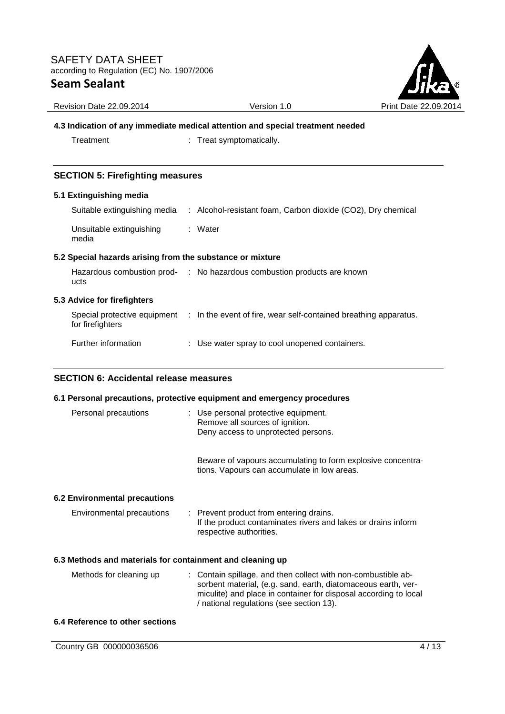

## **4.3 Indication of any immediate medical attention and special treatment needed**

Treatment : Treat symptomatically.

## **SECTION 5: Firefighting measures**

#### **5.1 Extinguishing media**

| Suitable extinguishing media      | : Alcohol-resistant foam, Carbon dioxide (CO2), Dry chemical |
|-----------------------------------|--------------------------------------------------------------|
| Unsuitable extinguishing<br>media | : Water                                                      |

## **5.2 Special hazards arising from the substance or mixture**

| Hazardous combustion prod-<br>ucts               | : No hazardous combustion products are known                     |
|--------------------------------------------------|------------------------------------------------------------------|
| 5.3 Advice for firefighters                      |                                                                  |
| Special protective equipment<br>for firefighters | : In the event of fire, wear self-contained breathing apparatus. |
| Further information                              | : Use water spray to cool unopened containers.                   |

## **SECTION 6: Accidental release measures**

## **6.1 Personal precautions, protective equipment and emergency procedures**

| Personal precautions | : Use personal protective equipment.<br>Remove all sources of ignition.<br>Deny access to unprotected persons. |
|----------------------|----------------------------------------------------------------------------------------------------------------|
|                      | Beware of vapours accumulating to form explosive concentra-<br>tions. Vapours can accumulate in low areas.     |

#### **6.2 Environmental precautions**

| Environmental precautions | : Prevent product from entering drains.                       |
|---------------------------|---------------------------------------------------------------|
|                           | If the product contaminates rivers and lakes or drains inform |
|                           | respective authorities.                                       |

#### **6.3 Methods and materials for containment and cleaning up**

Methods for cleaning up : Contain spillage, and then collect with non-combustible absorbent material, (e.g. sand, earth, diatomaceous earth, vermiculite) and place in container for disposal according to local / national regulations (see section 13).

#### **6.4 Reference to other sections**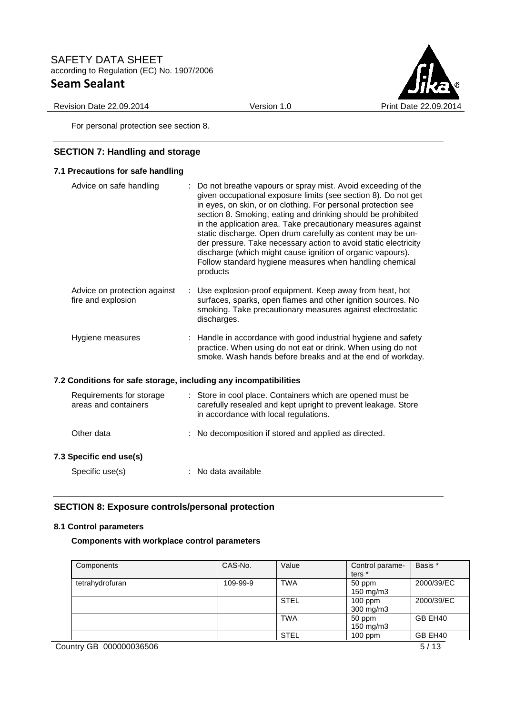

For personal protection see section 8.

## **SECTION 7: Handling and storage**

## **7.1 Precautions for safe handling**

| Advice on safe handling                                          |    | Do not breathe vapours or spray mist. Avoid exceeding of the<br>given occupational exposure limits (see section 8). Do not get<br>in eyes, on skin, or on clothing. For personal protection see<br>section 8. Smoking, eating and drinking should be prohibited<br>in the application area. Take precautionary measures against<br>static discharge. Open drum carefully as content may be un-<br>der pressure. Take necessary action to avoid static electricity<br>discharge (which might cause ignition of organic vapours).<br>Follow standard hygiene measures when handling chemical<br>products |
|------------------------------------------------------------------|----|--------------------------------------------------------------------------------------------------------------------------------------------------------------------------------------------------------------------------------------------------------------------------------------------------------------------------------------------------------------------------------------------------------------------------------------------------------------------------------------------------------------------------------------------------------------------------------------------------------|
| Advice on protection against<br>fire and explosion               | ÷. | Use explosion-proof equipment. Keep away from heat, hot<br>surfaces, sparks, open flames and other ignition sources. No<br>smoking. Take precautionary measures against electrostatic<br>discharges.                                                                                                                                                                                                                                                                                                                                                                                                   |
| Hygiene measures                                                 |    | : Handle in accordance with good industrial hygiene and safety<br>practice. When using do not eat or drink. When using do not<br>smoke. Wash hands before breaks and at the end of workday.                                                                                                                                                                                                                                                                                                                                                                                                            |
| 7.2 Conditions for safe storage, including any incompatibilities |    |                                                                                                                                                                                                                                                                                                                                                                                                                                                                                                                                                                                                        |
| Requirements for storage<br>areas and containers                 |    | : Store in cool place. Containers which are opened must be<br>carefully resealed and kept upright to prevent leakage. Store<br>in accordance with local regulations.                                                                                                                                                                                                                                                                                                                                                                                                                                   |
| Other data                                                       |    | No decomposition if stored and applied as directed.                                                                                                                                                                                                                                                                                                                                                                                                                                                                                                                                                    |
| 7.3 Specific end use(s)                                          |    |                                                                                                                                                                                                                                                                                                                                                                                                                                                                                                                                                                                                        |
| Specific use(s)                                                  |    | : No data available                                                                                                                                                                                                                                                                                                                                                                                                                                                                                                                                                                                    |

## **SECTION 8: Exposure controls/personal protection**

## **8.1 Control parameters**

## **Components with workplace control parameters**

| Components              | CAS-No.  | Value       | Control parame-   | Basis *    |
|-------------------------|----------|-------------|-------------------|------------|
|                         |          |             | ters <sup>*</sup> |            |
| tetrahydrofuran         | 109-99-9 | <b>TWA</b>  | 50 ppm            | 2000/39/EC |
|                         |          |             | 150 mg/m3         |            |
|                         |          | <b>STEL</b> | $100$ ppm         | 2000/39/EC |
|                         |          |             | 300 mg/m3         |            |
|                         |          | <b>TWA</b>  | 50 ppm            | GB EH40    |
|                         |          |             | 150 mg/m3         |            |
|                         |          | <b>STEL</b> | $100$ ppm         | GB EH40    |
| Country GB 000000036506 |          |             |                   | 5/13       |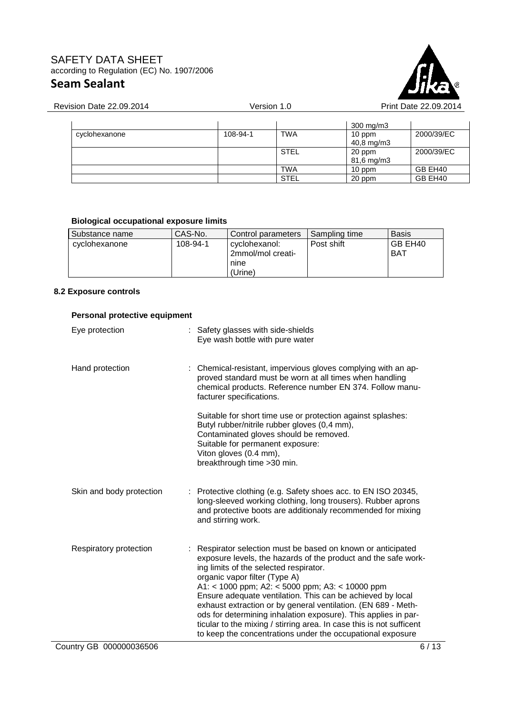

| <b>Revision Date 22.09.2014</b> | Version<br>I.U |  |
|---------------------------------|----------------|--|
|                                 |                |  |

|               |          |             | $300 \text{ mg/m}$ |            |
|---------------|----------|-------------|--------------------|------------|
| cyclohexanone | 108-94-1 | <b>TWA</b>  | 10 ppm             | 2000/39/EC |
|               |          |             | 40,8 mg/m3         |            |
|               |          | <b>STEL</b> | 20 ppm             | 2000/39/EC |
|               |          |             | 81,6 mg/m3         |            |
|               |          | <b>TWA</b>  | 10 ppm             | GB EH40    |
|               |          | <b>STEL</b> | 20 ppm             | GB EH40    |

## **Biological occupational exposure limits**

| Substance name | CAS-No.  | Control parameters                                    | Sampling time | <b>Basis</b>          |
|----------------|----------|-------------------------------------------------------|---------------|-----------------------|
| cyclohexanone  | 108-94-1 | cyclohexanol:<br>2mmol/mol creati-<br>nine<br>(Urine) | Post shift    | GB EH40<br><b>BAT</b> |

## **8.2 Exposure controls**

| : Safety glasses with side-shields<br>Eye wash bottle with pure water                                                                                                                                                                                                                                                                                                                                                                                                                                                                                                                             |
|---------------------------------------------------------------------------------------------------------------------------------------------------------------------------------------------------------------------------------------------------------------------------------------------------------------------------------------------------------------------------------------------------------------------------------------------------------------------------------------------------------------------------------------------------------------------------------------------------|
| : Chemical-resistant, impervious gloves complying with an ap-<br>proved standard must be worn at all times when handling<br>chemical products. Reference number EN 374. Follow manu-<br>facturer specifications.                                                                                                                                                                                                                                                                                                                                                                                  |
| Suitable for short time use or protection against splashes:<br>Butyl rubber/nitrile rubber gloves (0,4 mm),<br>Contaminated gloves should be removed.<br>Suitable for permanent exposure:<br>Viton gloves (0.4 mm),<br>breakthrough time > 30 min.                                                                                                                                                                                                                                                                                                                                                |
| : Protective clothing (e.g. Safety shoes acc. to EN ISO 20345,<br>long-sleeved working clothing, long trousers). Rubber aprons<br>and protective boots are additionaly recommended for mixing<br>and stirring work.                                                                                                                                                                                                                                                                                                                                                                               |
| Respirator selection must be based on known or anticipated<br>exposure levels, the hazards of the product and the safe work-<br>ing limits of the selected respirator.<br>organic vapor filter (Type A)<br>A1: < 1000 ppm; A2: < 5000 ppm; A3: < 10000 ppm<br>Ensure adequate ventilation. This can be achieved by local<br>exhaust extraction or by general ventilation. (EN 689 - Meth-<br>ods for determining inhalation exposure). This applies in par-<br>ticular to the mixing / stirring area. In case this is not sufficent<br>to keep the concentrations under the occupational exposure |
|                                                                                                                                                                                                                                                                                                                                                                                                                                                                                                                                                                                                   |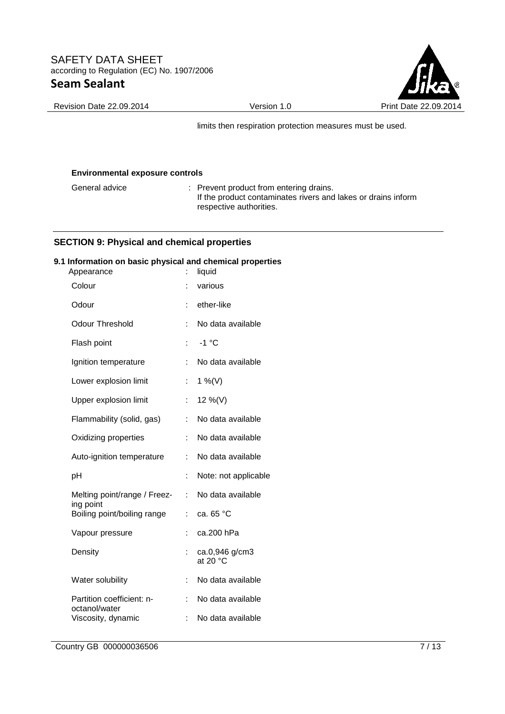

limits then respiration protection measures must be used.

| General advice | : Prevent product from entering drains.                       |
|----------------|---------------------------------------------------------------|
|                | If the product contaminates rivers and lakes or drains inform |
|                | respective authorities.                                       |

# **SECTION 9: Physical and chemical properties**

## **9.1 Information on basic physical and chemical properties**

| Appearance                               |    | liquid                               |
|------------------------------------------|----|--------------------------------------|
| Colour                                   |    | various                              |
| Odour                                    | t  | ether-like                           |
| Odour Threshold                          | ÷  | No data available                    |
| Flash point                              | t  | $-1$ °C                              |
| Ignition temperature                     | t  | No data available                    |
| Lower explosion limit                    | t  | $1 \%$ (V)                           |
| Upper explosion limit                    | Ì. | 12 %(V)                              |
| Flammability (solid, gas)                | ÷  | No data available                    |
| Oxidizing properties                     | ÷  | No data available                    |
| Auto-ignition temperature                | ÷  | No data available                    |
| pH                                       | t  | Note: not applicable                 |
| Melting point/range / Freez-             | t. | No data available                    |
| ing point<br>Boiling point/boiling range | ÷  | ca. 65 °C                            |
| Vapour pressure                          | ÷  | ca.200 hPa                           |
| Density                                  | ÷  | ca.0,946 g/cm3<br>at 20 $^{\circ}$ C |
| Water solubility                         | Ì. | No data available                    |
| Partition coefficient: n-                | ÷  | No data available                    |
| octanol/water<br>Viscosity, dynamic      | ÷  | No data available                    |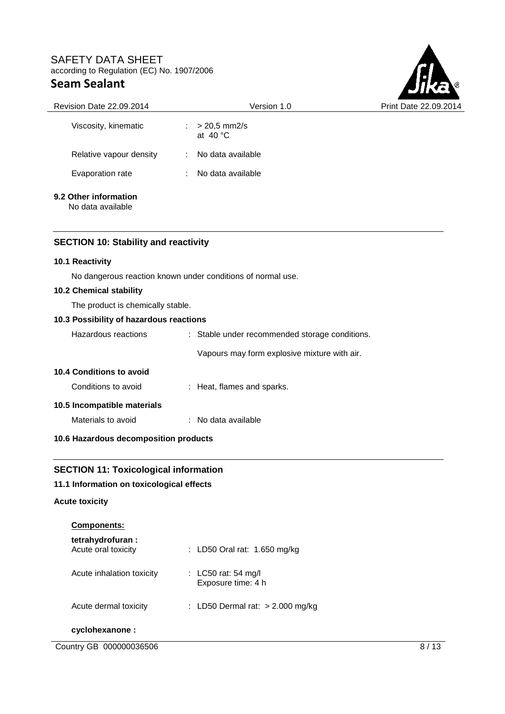

| Revision Date 22.09.2014                    | Version 1.0                                                 | Print Date 22.09.2014 |
|---------------------------------------------|-------------------------------------------------------------|-----------------------|
| Viscosity, kinematic                        | $> 20,5$ mm2/s<br>at $40^{\circ}$ C                         |                       |
| Relative vapour density                     | No data available                                           |                       |
| Evaporation rate                            | No data available                                           |                       |
| 9.2 Other information<br>No data available  |                                                             |                       |
| <b>SECTION 10: Stability and reactivity</b> |                                                             |                       |
| 10.1 Reactivity                             |                                                             |                       |
|                                             | No dangerous reaction known under conditions of normal use. |                       |
| 10.2 Chemical stability                     |                                                             |                       |
| The product is chemically stable.           |                                                             |                       |
| 10.3 Possibility of hazardous reactions     |                                                             |                       |
| Hazardous reactions                         | : Stable under recommended storage conditions.              |                       |
|                                             | Vapours may form explosive mixture with air.                |                       |
| 10.4 Conditions to avoid                    |                                                             |                       |
| Conditions to avoid                         | : Heat, flames and sparks.                                  |                       |
| 10.5 Incompatible materials                 |                                                             |                       |
| Materials to avoid                          | : No data available                                         |                       |
| 10.6 Hazardous decomposition products       |                                                             |                       |

# **SECTION 11: Toxicological information**

# **11.1 Information on toxicological effects**

# **Acute toxicity**

| <b>Components:</b>                       |                                           |
|------------------------------------------|-------------------------------------------|
| tetrahydrofuran :<br>Acute oral toxicity | : LD50 Oral rat: 1.650 mg/kg              |
| Acute inhalation toxicity                | : LC50 rat: 54 mg/l<br>Exposure time: 4 h |
| Acute dermal toxicity                    | : LD50 Dermal rat: $> 2.000$ mg/kg        |
|                                          |                                           |

# **cyclohexanone :**

Country GB 000000036506 8/13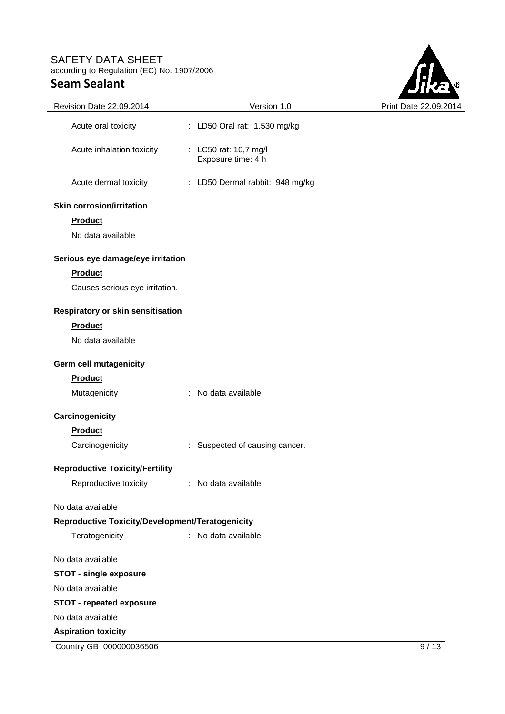

| Revision Date 22.09.2014                         | Version 1.0                                 | Print Date 22.09.2014 |
|--------------------------------------------------|---------------------------------------------|-----------------------|
| Acute oral toxicity                              | : LD50 Oral rat: 1.530 mg/kg                |                       |
| Acute inhalation toxicity                        | : LC50 rat: 10,7 mg/l<br>Exposure time: 4 h |                       |
| Acute dermal toxicity                            | : LD50 Dermal rabbit: 948 mg/kg             |                       |
| <b>Skin corrosion/irritation</b>                 |                                             |                       |
| <b>Product</b>                                   |                                             |                       |
| No data available                                |                                             |                       |
| Serious eye damage/eye irritation                |                                             |                       |
| <b>Product</b>                                   |                                             |                       |
| Causes serious eye irritation.                   |                                             |                       |
| Respiratory or skin sensitisation                |                                             |                       |
| <b>Product</b>                                   |                                             |                       |
| No data available                                |                                             |                       |
| <b>Germ cell mutagenicity</b>                    |                                             |                       |
| <b>Product</b>                                   |                                             |                       |
| Mutagenicity                                     | : No data available                         |                       |
| Carcinogenicity                                  |                                             |                       |
| <b>Product</b>                                   |                                             |                       |
| Carcinogenicity                                  | : Suspected of causing cancer.              |                       |
| <b>Reproductive Toxicity/Fertility</b>           |                                             |                       |
| Reproductive toxicity                            | : No data available                         |                       |
| No data available                                |                                             |                       |
| Reproductive Toxicity/Development/Teratogenicity |                                             |                       |
| Teratogenicity                                   | : No data available                         |                       |
| No data available                                |                                             |                       |
| <b>STOT - single exposure</b>                    |                                             |                       |
| No data available                                |                                             |                       |
| <b>STOT - repeated exposure</b>                  |                                             |                       |
| No data available                                |                                             |                       |
| <b>Aspiration toxicity</b>                       |                                             |                       |

**Country GB 000000036506** 9 / 13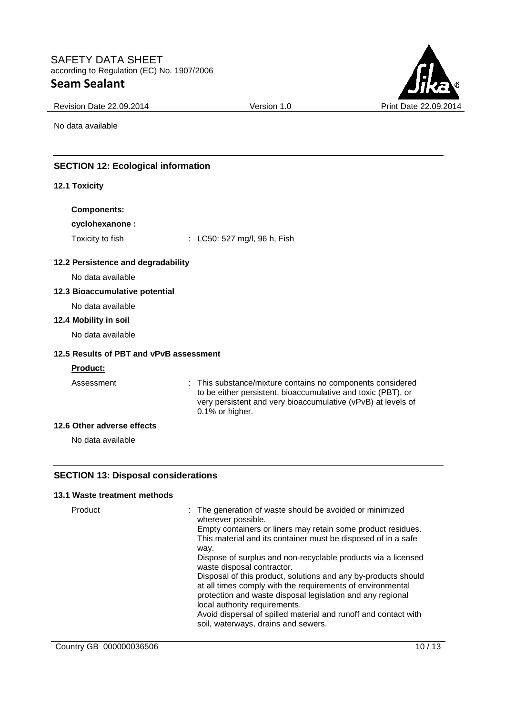Revision Date 22.09.2014 Version 1.0 Version 1.0 Print Date 22.09.2014

No data available

# **SECTION 12: Ecological information**

## **12.1 Toxicity**

## **Components:**

## **cyclohexanone :**

Toxicity to fish : LC50: 527 mg/l, 96 h, Fish

## **12.2 Persistence and degradability**

No data available

## **12.3 Bioaccumulative potential**

No data available

## **12.4 Mobility in soil**

No data available

# **12.5 Results of PBT and vPvB assessment**

## **Product:**

Assessment : This substance/mixture contains no components considered to be either persistent, bioaccumulative and toxic (PBT), or very persistent and very bioaccumulative (vPvB) at levels of 0.1% or higher.

## **12.6 Other adverse effects**

No data available

## **SECTION 13: Disposal considerations**

## **13.1 Waste treatment methods**

Product : The generation of waste should be avoided or minimized wherever possible. Empty containers or liners may retain some product residues. This material and its container must be disposed of in a safe way. Dispose of surplus and non-recyclable products via a licensed waste disposal contractor. Disposal of this product, solutions and any by-products should at all times comply with the requirements of environmental protection and waste disposal legislation and any regional local authority requirements. Avoid dispersal of spilled material and runoff and contact with soil, waterways, drains and sewers.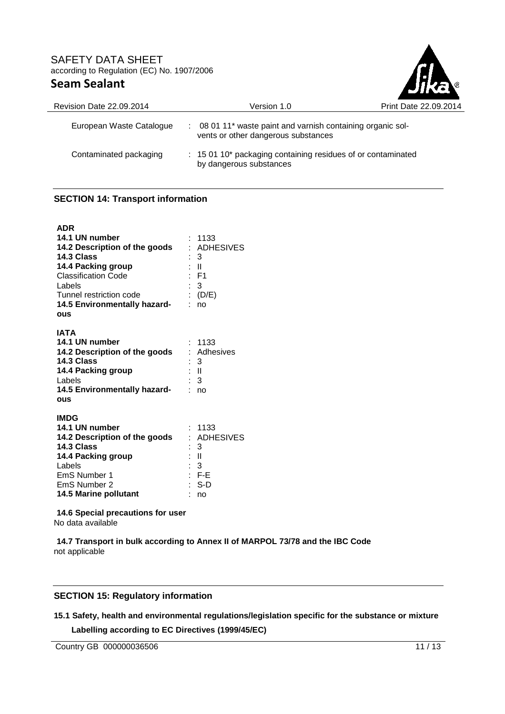

| <b>Revision Date 22.09.2014</b> | Version 1.0                                                                                        | Print Date 22,09,2014 |
|---------------------------------|----------------------------------------------------------------------------------------------------|-----------------------|
| European Waste Catalogue        | : 08 01 11* waste paint and varnish containing organic sol-<br>vents or other dangerous substances |                       |
| Contaminated packaging          | : 15 01 10* packaging containing residues of or contaminated<br>by dangerous substances            |                       |

# **SECTION 14: Transport information**

| <b>ADR</b>                    |                |
|-------------------------------|----------------|
| 14.1 UN number                | : 1133         |
| 14.2 Description of the goods | : ADHESIVES    |
| 14.3 Class                    | -3             |
| 14.4 Packing group            | : II           |
| <b>Classification Code</b>    | $:$ F1         |
| Labels                        | : 3            |
| Tunnel restriction code       | (D/E)          |
| 14.5 Environmentally hazard-  | no             |
| ous                           |                |
|                               |                |
| <b>IATA</b>                   |                |
| 14.1 UN number                | : 1133         |
| 14.2 Description of the goods | : Adhesives    |
| 14.3 Class                    | : 3            |
| 14.4 Packing group            | : II           |
| Labels                        | $\therefore$ 3 |
| 14.5 Environmentally hazard-  | : no           |
| ous                           |                |
|                               |                |
| <b>IMDG</b>                   |                |
| 14.1 UN number                | : 1133         |
| 14.2 Description of the goods | ADHESIVES      |
| 14.3 Class                    | : 3            |
| 14.4 Packing group            | : II           |
| Labels                        | : 3            |
| EmS Number 1                  | $E - F - E$    |
| EmS Number 2                  | -S-D           |
| 14.5 Marine pollutant         | no             |

**14.6 Special precautions for user**

No data available

**14.7 Transport in bulk according to Annex II of MARPOL 73/78 and the IBC Code** not applicable

## **SECTION 15: Regulatory information**

**15.1 Safety, health and environmental regulations/legislation specific for the substance or mixture** 

**Labelling according to EC Directives (1999/45/EC)**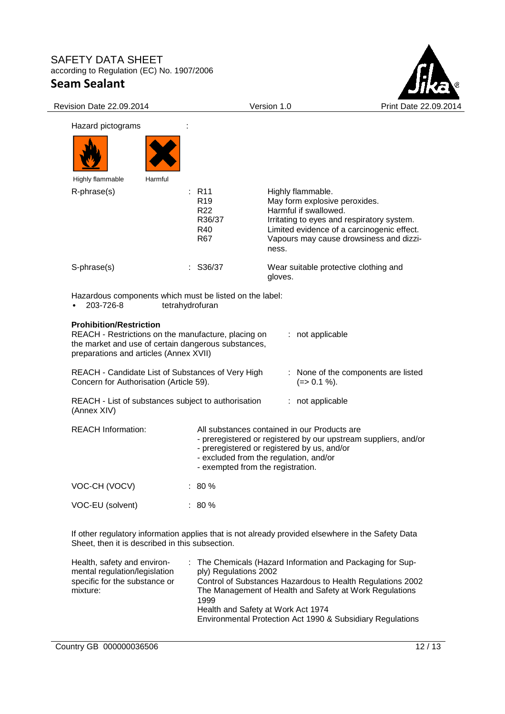

Revision Date 22.09.2014 Version 1.0 Version 1.0 Print Date 22 Hazard pictograms : Highly flammable Harmful R-phrase(s) : R11 Highly flammable. R19 May form explosive peroxides.<br>R22 Harmful if swallowed. Harmful if swallowed. R36/37 Irritating to eyes and respiratory system. R40 **Limited evidence of a carcinogenic effect.** R67 Vapours may cause drowsiness and dizziness. S-phrase(s)  $\therefore$  S36/37 Wear suitable protective clothing and gloves. Hazardous components which must be listed on the label: • 203-726-8 tetrahydrofuran **Prohibition/Restriction**  REACH - Restrictions on the manufacture, placing on the market and use of certain dangerous substances, preparations and articles (Annex XVII) : not applicable REACH - Candidate List of Substances of Very High Concern for Authorisation (Article 59). : None of the components are listed  $(=> 0.1 \%)$ . REACH - List of substances subject to authorisation (Annex XIV) : not applicable REACH Information: All substances contained in our Products are - preregistered or registered by our upstream suppliers, and/or - preregistered or registered by us, and/or - excluded from the regulation, and/or - exempted from the registration. VOC-CH (VOCV) : 80 % VOC-EU (solvent) : 80 %

If other regulatory information applies that is not already provided elsewhere in the Safety Data Sheet, then it is described in this subsection.

| Health, safety and environ-<br>mental regulation/legislation<br>specific for the substance or<br>mixture: | : The Chemicals (Hazard Information and Packaging for Sup-<br>ply) Regulations 2002<br>Control of Substances Hazardous to Health Regulations 2002<br>The Management of Health and Safety at Work Regulations<br>1999<br>Health and Safety at Work Act 1974 |
|-----------------------------------------------------------------------------------------------------------|------------------------------------------------------------------------------------------------------------------------------------------------------------------------------------------------------------------------------------------------------------|
|                                                                                                           | Environmental Protection Act 1990 & Subsidiary Regulations                                                                                                                                                                                                 |
|                                                                                                           |                                                                                                                                                                                                                                                            |